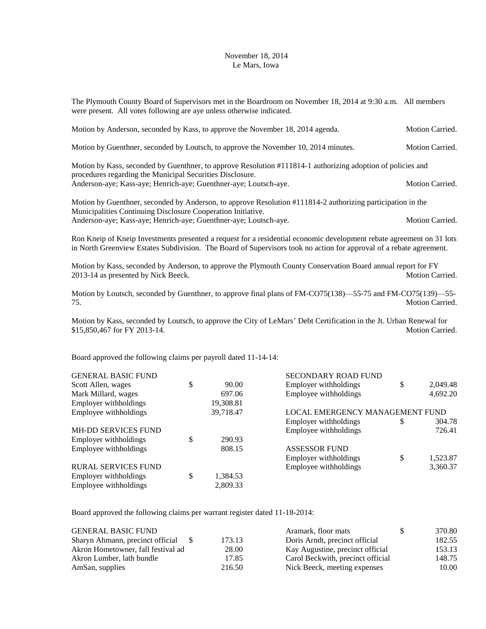## November 18, 2014 Le Mars, Iowa

The Plymouth County Board of Supervisors met in the Boardroom on November 18, 2014 at 9:30 a.m. All members were present. All votes following are aye unless otherwise indicated.

| Motion by Anderson, seconded by Kass, to approve the November 18, 2014 agenda.                                                                                           | Motion Carried.        |
|--------------------------------------------------------------------------------------------------------------------------------------------------------------------------|------------------------|
| Motion by Guenthner, seconded by Loutsch, to approve the November 10, 2014 minutes.                                                                                      | <b>Motion Carried.</b> |
| Motion by Kass, seconded by Guenthner, to approve Resolution #111814-1 authorizing adoption of policies and<br>procedures regarding the Municipal Securities Disclosure. |                        |
| Anderson-aye; Kass-aye; Henrich-aye; Guenthner-aye; Loutsch-aye.                                                                                                         | <b>Motion Carried.</b> |
|                                                                                                                                                                          |                        |

Motion by Guenthner, seconded by Anderson, to approve Resolution #111814-2 authorizing participation in the Municipalities Continuing Disclosure Cooperation Initiative. Anderson-aye; Kass-aye; Henrich-aye; Guenthner-aye; Loutsch-aye. Motion Carried. Motion Carried.

Ron Kneip of Kneip Investments presented a request for a residential economic development rebate agreement on 31 lots in North Greenview Estates Subdivision. The Board of Supervisors took no action for approval of a rebate agreement.

Motion by Kass, seconded by Anderson, to approve the Plymouth County Conservation Board annual report for FY 2013-14 as presented by Nick Beeck. Motion Carried.

Motion by Loutsch, seconded by Guenthner, to approve final plans of FM-CO75(138)—55-75 and FM-CO75(139)—55- 75. Motion Carried.

Motion by Kass, seconded by Loutsch, to approve the City of LeMars' Debt Certification in the Jt. Urban Renewal for \$15,850,467 for FY 2013-14. Motion Carried.

Board approved the following claims per payroll dated 11-14-14:

|                                    |           | <b>SECONDARY ROAD FUND</b>      |    |          |
|------------------------------------|-----------|---------------------------------|----|----------|
| \$                                 | 90.00     | Employer withholdings           | \$ | 2,049.48 |
|                                    | 697.06    | Employee withholdings           |    | 4,692.20 |
|                                    | 19,308.81 |                                 |    |          |
| Employee withholdings<br>39,718.47 |           | LOCAL EMERGENCY MANAGEMENT FUND |    |          |
|                                    |           | Employer withholdings           | S  | 304.78   |
|                                    |           | Employee withholdings           |    | 726.41   |
| \$                                 | 290.93    |                                 |    |          |
|                                    | 808.15    | <b>ASSESSOR FUND</b>            |    |          |
|                                    |           | Employer withholdings           | \$ | 1,523.87 |
|                                    |           | Employee withholdings           |    | 3,360.37 |
| \$                                 | 1,384.53  |                                 |    |          |
|                                    | 2,809.33  |                                 |    |          |
|                                    |           |                                 |    |          |

Board approved the following claims per warrant register dated 11-18-2014:

| <b>GENERAL BASIC FUND</b>          |        | Aramark, floor mats               | <sup>\$</sup> | 370.80 |
|------------------------------------|--------|-----------------------------------|---------------|--------|
| Sharyn Ahmann, precinct official   | 173.13 | Doris Arndt, precinct official    |               | 182.55 |
| Akron Hometowner, fall festival ad | 28.00  | Kay Augustine, precinct official  |               | 153.13 |
| Akron Lumber, lath bundle          | 17.85  | Carol Beckwith, precinct official |               | 148.75 |
| AmSan, supplies                    | 216.50 | Nick Beeck, meeting expenses      |               | 10.00  |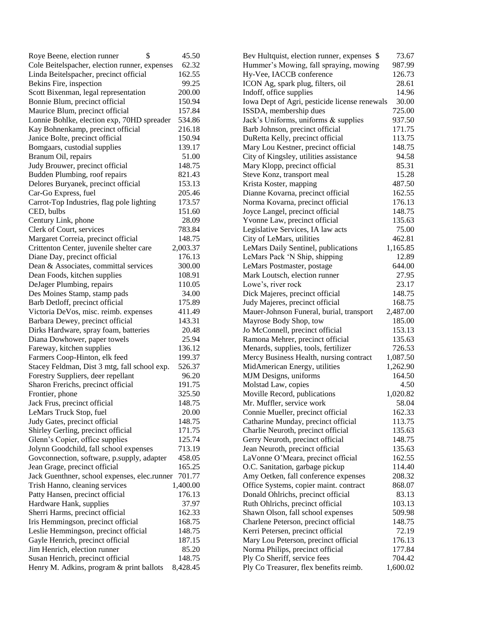| \$<br>Roye Beene, election runner                   | 45.50    | Bev Hultquist, election runner, expenses \$   | 73.67    |
|-----------------------------------------------------|----------|-----------------------------------------------|----------|
| Cole Beitelspacher, election runner, expenses       | 62.32    | Hummer's Mowing, fall spraying, mowing        | 987.99   |
| Linda Beitelspacher, precinct official              | 162.55   | Hy-Vee, IACCB conference                      | 126.73   |
| Bekins Fire, inspection                             | 99.25    | ICON Ag, spark plug, filters, oil             | 28.61    |
| Scott Bixenman, legal representation                | 200.00   | Indoff, office supplies                       | 14.96    |
| Bonnie Blum, precinct official                      | 150.94   | Iowa Dept of Agri, pesticide license renewals | 30.00    |
| Maurice Blum, precinct official                     | 157.84   | ISSDA, membership dues                        | 725.00   |
| Lonnie Bohlke, election exp, 70HD spreader          | 534.86   | Jack's Uniforms, uniforms & supplies          | 937.50   |
| Kay Bohnenkamp, precinct official                   | 216.18   | Barb Johnson, precinct official               | 171.75   |
| Janice Bolte, precinct official                     | 150.94   | DuRetta Kelly, precinct official              | 113.75   |
| Bomgaars, custodial supplies                        | 139.17   | Mary Lou Kestner, precinct official           | 148.75   |
| Branum Oil, repairs                                 | 51.00    | City of Kingsley, utilities assistance        | 94.58    |
| Judy Brouwer, precinct official                     | 148.75   | Mary Klopp, precinct official                 | 85.31    |
| Budden Plumbing, roof repairs                       | 821.43   | Steve Konz, transport meal                    | 15.28    |
| Delores Buryanek, precinct official                 | 153.13   | Krista Koster, mapping                        | 487.50   |
| Car-Go Express, fuel                                | 205.46   | Dianne Kovarna, precinct official             | 162.55   |
| Carrot-Top Industries, flag pole lighting           | 173.57   | Norma Kovarna, precinct official              | 176.13   |
| CED, bulbs                                          | 151.60   | Joyce Langel, precinct official               | 148.75   |
| Century Link, phone                                 | 28.09    | Yvonne Law, precinct official                 | 135.63   |
| Clerk of Court, services                            | 783.84   | Legislative Services, IA law acts             | 75.00    |
| Margaret Correia, precinct official                 | 148.75   | City of LeMars, utilities                     | 462.81   |
| Crittenton Center, juvenile shelter care            | 2,003.37 | LeMars Daily Sentinel, publications           | 1,165.85 |
| Diane Day, precinct official                        | 176.13   | LeMars Pack 'N Ship, shipping                 | 12.89    |
| Dean & Associates, committal services               | 300.00   | LeMars Postmaster, postage                    | 644.00   |
| Dean Foods, kitchen supplies                        | 108.91   | Mark Loutsch, election runner                 | 27.95    |
| DeJager Plumbing, repairs                           | 110.05   | Lowe's, river rock                            | 23.17    |
| Des Moines Stamp, stamp pads                        | 34.00    | Dick Majeres, precinct official               | 148.75   |
| Barb Detloff, precinct official                     | 175.89   | Judy Majeres, precinct official               | 168.75   |
| Victoria DeVos, misc. reimb. expenses               | 411.49   | Mauer-Johnson Funeral, burial, transport      | 2,487.00 |
| Barbara Dewey, precinct official                    | 143.31   |                                               | 185.00   |
|                                                     |          | Mayrose Body Shop, tow                        |          |
| Dirks Hardware, spray foam, batteries               | 20.48    | Jo McConnell, precinct official               | 153.13   |
| Diana Dowhower, paper towels                        | 25.94    | Ramona Mehrer, precinct official              | 135.63   |
| Fareway, kitchen supplies                           | 136.12   | Menards, supplies, tools, fertilizer          | 726.53   |
| Farmers Coop-Hinton, elk feed                       | 199.37   | Mercy Business Health, nursing contract       | 1,087.50 |
| Stacey Feldman, Dist 3 mtg, fall school exp.        | 526.37   | MidAmerican Energy, utilities                 | 1,262.90 |
| Forestry Suppliers, deer repellant                  | 96.20    | MJM Designs, uniforms                         | 164.50   |
| Sharon Frerichs, precinct official                  | 191.75   | Molstad Law, copies                           | 4.50     |
| Frontier, phone                                     | 325.50   | Moville Record, publications                  | 1,020.82 |
| Jack Frus, precinct official                        | 148.75   | Mr. Muffler, service work                     | 58.04    |
| LeMars Truck Stop, fuel                             | 20.00    | Connie Mueller, precinct official             | 162.33   |
| Judy Gates, precinct official                       | 148.75   | Catharine Munday, precinct official           | 113.75   |
| Shirley Gerling, precinct official                  | 171.75   | Charlie Neuroth, precinct official            | 135.63   |
| Glenn's Copier, office supplies                     | 125.74   | Gerry Neuroth, precinct official              | 148.75   |
| Jolynn Goodchild, fall school expenses              | 713.19   | Jean Neuroth, precinct official               | 135.63   |
| Govconnection, software, p.supply, adapter          | 458.05   | LaVonne O'Meara, precinct official            | 162.55   |
| Jean Grage, precinct official                       | 165.25   | O.C. Sanitation, garbage pickup               | 114.40   |
| Jack Guenthner, school expenses, elec.runner 701.77 |          | Amy Oetken, fall conference expenses          | 208.32   |
| Trish Hanno, cleaning services                      | 1,400.00 | Office Systems, copier maint. contract        | 868.07   |
| Patty Hansen, precinct official                     | 176.13   | Donald Ohlrichs, precinct official            | 83.13    |
| Hardware Hank, supplies                             | 37.97    | Ruth Ohlrichs, precinct official              | 103.13   |
| Sherri Harms, precinct official                     | 162.33   | Shawn Olson, fall school expenses             | 509.98   |
| Iris Hemmingson, precinct official                  | 168.75   | Charlene Peterson, precinct official          | 148.75   |
| Leslie Hemmingson, precinct official                | 148.75   | Kerri Petersen, precinct official             | 72.19    |
| Gayle Henrich, precinct official                    | 187.15   | Mary Lou Peterson, precinct official          | 176.13   |
| Jim Henrich, election runner                        | 85.20    | Norma Philips, precinct official              | 177.84   |
| Susan Henrich, precinct official                    | 148.75   | Ply Co Sheriff, service fees                  | 704.42   |
| Henry M. Adkins, program & print ballots            | 8,428.45 | Ply Co Treasurer, flex benefits reimb.        | 1,600.02 |
|                                                     |          |                                               |          |

| Bev Hultquist, election runner, expenses \$   | 73.67    |
|-----------------------------------------------|----------|
| Hummer's Mowing, fall spraying, mowing        | 987.99   |
| Hy-Vee, IACCB conference                      | 126.73   |
| ICON Ag, spark plug, filters, oil             | 28.61    |
| Indoff, office supplies                       | 14.96    |
| Iowa Dept of Agri, pesticide license renewals | 30.00    |
| ISSDA, membership dues                        | 725.00   |
| Jack's Uniforms, uniforms & supplies          | 937.50   |
| Barb Johnson, precinct official               | 171.75   |
| DuRetta Kelly, precinct official              | 113.75   |
| Mary Lou Kestner, precinct official           | 148.75   |
| City of Kingsley, utilities assistance        | 94.58    |
| Mary Klopp, precinct official                 | 85.31    |
| Steve Konz, transport meal                    | 15.28    |
| Krista Koster, mapping                        | 487.50   |
| Dianne Kovarna, precinct official             | 162.55   |
| Norma Kovarna, precinct official              | 176.13   |
| Joyce Langel, precinct official               | 148.75   |
| Yvonne Law, precinct official                 | 135.63   |
| Legislative Services, IA law acts             | 75.00    |
| City of LeMars, utilities                     | 462.81   |
| LeMars Daily Sentinel, publications           | 1,165.85 |
| LeMars Pack 'N Ship, shipping                 | 12.89    |
| LeMars Postmaster, postage                    | 644.00   |
| Mark Loutsch, election runner                 | 27.95    |
| Lowe's, river rock                            | 23.17    |
| Dick Majeres, precinct official               | 148.75   |
| Judy Majeres, precinct official               | 168.75   |
| Mauer-Johnson Funeral, burial, transport      | 2,487.00 |
| Mayrose Body Shop, tow                        | 185.00   |
| Jo McConnell, precinct official               | 153.13   |
| Ramona Mehrer, precinct official              | 135.63   |
| Menards, supplies, tools, fertilizer          | 726.53   |
| Mercy Business Health, nursing contract       | 1,087.50 |
| MidAmerican Energy, utilities                 | 1,262.90 |
| MJM Designs, uniforms                         | 164.50   |
| Molstad Law, copies                           | 4.50     |
| Moville Record, publications                  | 1,020.82 |
| Mr. Muffler, service work                     | 58.04    |
| Connie Mueller, precinct official             | 162.33   |
| Catharine Munday, precinct official           | 113.75   |
| Charlie Neuroth, precinct official            | 135.63   |
| Gerry Neuroth, precinct official              | 148.75   |
| Jean Neuroth, precinct official               | 135.63   |
| LaVonne O'Meara, precinct official            | 162.55   |
| O.C. Sanitation, garbage pickup               | 114.40   |
| Amy Oetken, fall conference expenses          | 208.32   |
| Office Systems, copier maint. contract        | 868.07   |
| Donald Ohlrichs, precinct official            | 83.13    |
| Ruth Ohlrichs, precinct official              | 103.13   |
| Shawn Olson, fall school expenses             | 509.98   |
| Charlene Peterson, precinct official          | 148.75   |
| Kerri Petersen, precinct official             | 72.19    |
| Mary Lou Peterson, precinct official          | 176.13   |
| Norma Philips, precinct official              | 177.84   |
| Ply Co Sheriff, service fees                  | 704.42   |
| Ply Co Treasurer, flex benefits reimb.        | 1,600.02 |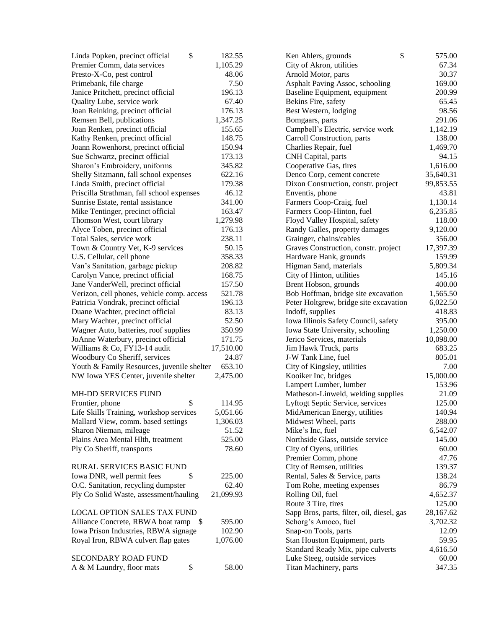| \$<br>Linda Popken, precinct official      | 182.55    | \$<br>Ken Ahlers, grounds                  | 575.00    |
|--------------------------------------------|-----------|--------------------------------------------|-----------|
| Premier Comm, data services                | 1,105.29  | City of Akron, utilities                   | 67.34     |
| Presto-X-Co, pest control                  | 48.06     | Arnold Motor, parts                        | 30.37     |
| Primebank, file charge                     | 7.50      | Asphalt Paving Assoc, schooling            | 169.00    |
| Janice Pritchett, precinct official        | 196.13    | Baseline Equipment, equipment              | 200.99    |
| Quality Lube, service work                 | 67.40     | Bekins Fire, safety                        | 65.45     |
| Joan Reinking, precinct official           | 176.13    | Best Western, lodging                      | 98.56     |
| Remsen Bell, publications                  | 1,347.25  | Bomgaars, parts                            | 291.06    |
| Joan Renken, precinct official             | 155.65    | Campbell's Electric, service work          | 1,142.19  |
| Kathy Renken, precinct official            | 148.75    | Carroll Construction, parts                | 138.00    |
| Joann Rowenhorst, precinct official        | 150.94    | Charlies Repair, fuel                      | 1,469.70  |
| Sue Schwartz, precinct official            | 173.13    | CNH Capital, parts                         | 94.15     |
| Sharon's Embroidery, uniforms              | 345.82    | Cooperative Gas, tires                     | 1,616.00  |
| Shelly Sitzmann, fall school expenses      | 622.16    | Denco Corp, cement concrete                | 35,640.31 |
| Linda Smith, precinct official             | 179.38    | Dixon Construction, constr. project        | 99,853.55 |
| Priscilla Strathman, fall school expenses  | 46.12     | Enventis, phone                            | 43.81     |
| Sunrise Estate, rental assistance          | 341.00    | Farmers Coop-Craig, fuel                   | 1,130.14  |
| Mike Tentinger, precinct official          | 163.47    | Farmers Coop-Hinton, fuel                  | 6,235.85  |
| Thomson West, court library                | 1,279.98  | Floyd Valley Hospital, safety              | 118.00    |
| Alyce Toben, precinct official             | 176.13    | Randy Galles, property damages             | 9,120.00  |
| Total Sales, service work                  | 238.11    | Grainger, chains/cables                    | 356.00    |
| Town & Country Vet, K-9 services           | 50.15     | Graves Construction, constr. project       | 17,397.39 |
| U.S. Cellular, cell phone                  | 358.33    | Hardware Hank, grounds                     | 159.99    |
| Van's Sanitation, garbage pickup           | 208.82    | Higman Sand, materials                     | 5,809.34  |
| Carolyn Vance, precinct official           | 168.75    | City of Hinton, utilities                  | 145.16    |
| Jane VanderWell, precinct official         | 157.50    | Brent Hobson, grounds                      | 400.00    |
| Verizon, cell phones, vehicle comp. access | 521.78    | Bob Hoffman, bridge site excavation        | 1,565.50  |
| Patricia Vondrak, precinct official        | 196.13    | Peter Holtgrew, bridge site excavation     | 6,022.50  |
| Duane Wachter, precinct official           | 83.13     | Indoff, supplies                           | 418.83    |
| Mary Wachter, precinct official            | 52.50     | Iowa Illinois Safety Council, safety       | 395.00    |
| Wagner Auto, batteries, roof supplies      | 350.99    | Iowa State University, schooling           | 1,250.00  |
| JoAnne Waterbury, precinct official        | 171.75    | Jerico Services, materials                 | 10,098.00 |
| Williams & Co, FY13-14 audit               | 17,510.00 | Jim Hawk Truck, parts                      | 683.25    |
| Woodbury Co Sheriff, services              | 24.87     | J-W Tank Line, fuel                        | 805.01    |
| Youth & Family Resources, juvenile shelter | 653.10    | City of Kingsley, utilities                | 7.00      |
| NW Iowa YES Center, juvenile shelter       | 2,475.00  | Kooiker Inc, bridges                       | 15,000.00 |
|                                            |           | Lampert Lumber, lumber                     | 153.96    |
| <b>MH-DD SERVICES FUND</b>                 |           | Matheson-Linweld, welding supplies         | 21.09     |
| \$<br>Frontier, phone                      | 114.95    | Lyftogt Septic Service, services           | 125.00    |
| Life Skills Training, workshop services    | 5,051.66  | MidAmerican Energy, utilities              | 140.94    |
| Mallard View, comm. based settings         | 1,306.03  | Midwest Wheel, parts                       | 288.00    |
| Sharon Nieman, mileage                     | 51.52     | Mike's Inc, fuel                           | 6,542.07  |
| Plains Area Mental Hlth, treatment         | 525.00    | Northside Glass, outside service           | 145.00    |
| Ply Co Sheriff, transports                 | 78.60     | City of Oyens, utilities                   | 60.00     |
|                                            |           | Premier Comm, phone                        | 47.76     |
| RURAL SERVICES BASIC FUND                  |           | City of Remsen, utilities                  | 139.37    |
| Iowa DNR, well permit fees<br>\$           | 225.00    | Rental, Sales & Service, parts             | 138.24    |
| O.C. Sanitation, recycling dumpster        | 62.40     | Tom Rohe, meeting expenses                 | 86.79     |
| Ply Co Solid Waste, assessment/hauling     | 21,099.93 | Rolling Oil, fuel                          | 4,652.37  |
|                                            |           | Route 3 Tire, tires                        | 125.00    |
| LOCAL OPTION SALES TAX FUND                |           | Sapp Bros, parts, filter, oil, diesel, gas | 28,167.62 |
| Alliance Concrete, RBWA boat ramp<br>\$    | 595.00    | Schorg's Amoco, fuel                       | 3,702.32  |
| Iowa Prison Industries, RBWA signage       | 102.90    | Snap-on Tools, parts                       | 12.09     |
| Royal Iron, RBWA culvert flap gates        | 1,076.00  | Stan Houston Equipment, parts              | 59.95     |
|                                            |           | Standard Ready Mix, pipe culverts          | 4,616.50  |
| SECONDARY ROAD FUND                        |           | Luke Steeg, outside services               | 60.00     |
| \$<br>A & M Laundry, floor mats            | 58.00     | Titan Machinery, parts                     | 347.35    |